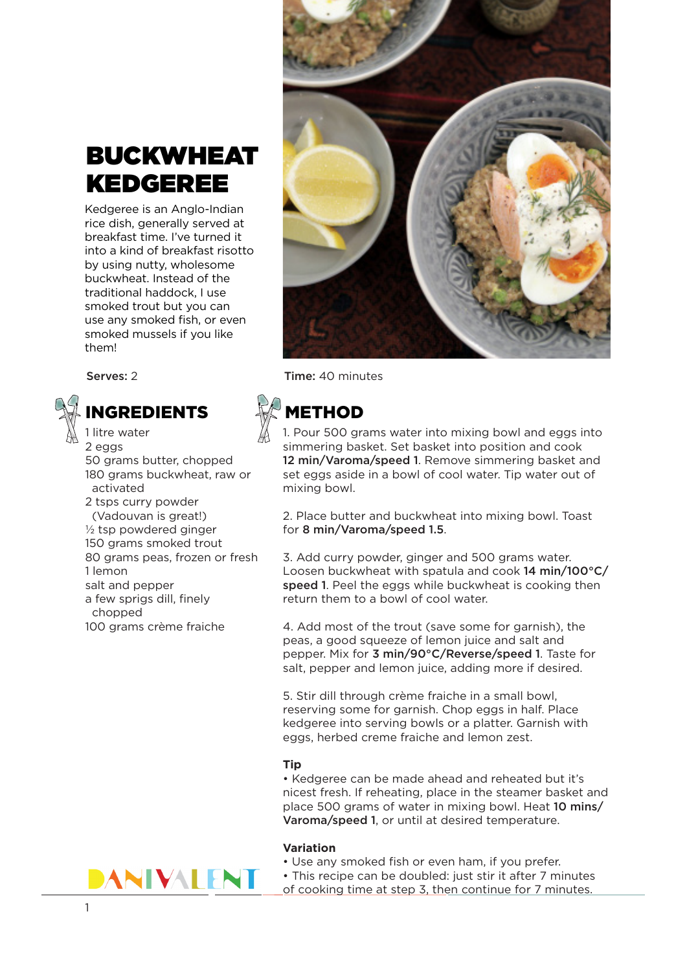# BUCKWHEAT KEDGEREE

Kedgeree is an Anglo-Indian rice dish, generally served at breakfast time. I've turned it into a kind of breakfast risotto by using nutty, wholesome buckwheat. Instead of the traditional haddock, I use smoked trout but you can use any smoked fish, or even smoked mussels if you like them!

# NGREDIENTS **WARETHOD**

1 litre water 2 eggs 50 grams butter, chopped 180 grams buckwheat, raw or activated 2 tsps curry powder (Vadouvan is great!) ½ tsp powdered ginger 150 grams smoked trout 80 grams peas, frozen or fresh 1 lemon salt and pepper a few sprigs dill, finely chopped

100 grams crème fraiche



Serves: 2 Time: 40 minutes

1. Pour 500 grams water into mixing bowl and eggs into simmering basket. Set basket into position and cook 12 min/Varoma/speed 1. Remove simmering basket and set eggs aside in a bowl of cool water. Tip water out of mixing bowl.

2. Place butter and buckwheat into mixing bowl. Toast for 8 min/Varoma/speed 1.5.

3. Add curry powder, ginger and 500 grams water. Loosen buckwheat with spatula and cook 14 min/100°C/ speed 1. Peel the eggs while buckwheat is cooking then return them to a bowl of cool water.

4. Add most of the trout (save some for garnish), the peas, a good squeeze of lemon juice and salt and pepper. Mix for 3 min/90°C/Reverse/speed 1. Taste for salt, pepper and lemon juice, adding more if desired.

5. Stir dill through crème fraiche in a small bowl, reserving some for garnish. Chop eggs in half. Place kedgeree into serving bowls or a platter. Garnish with eggs, herbed creme fraiche and lemon zest.

### **Tip**

• Kedgeree can be made ahead and reheated but it's nicest fresh. If reheating, place in the steamer basket and place 500 grams of water in mixing bowl. Heat 10 mins/ Varoma/speed 1, or until at desired temperature.

### **Variation**

- Use any smoked fish or even ham, if you prefer.
- This recipe can be doubled: just stir it after 7 minutes of cooking time at step 3, then continue for 7 minutes.